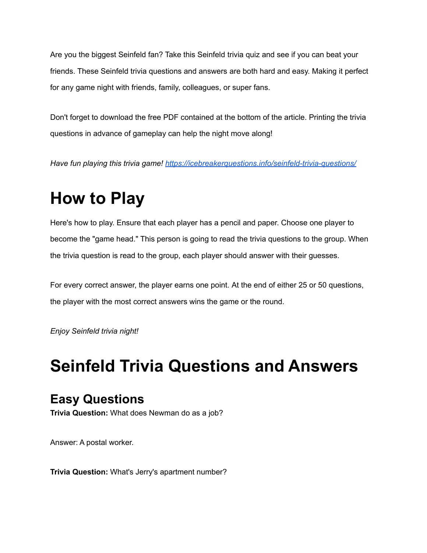Are you the biggest Seinfeld fan? Take this Seinfeld trivia quiz and see if you can beat your friends. These Seinfeld trivia questions and answers are both hard and easy. Making it perfect for any game night with friends, family, colleagues, or super fans.

Don't forget to download the free PDF contained at the bottom of the article. Printing the trivia questions in advance of gameplay can help the night move along!

*Have fun playing this trivia game! <https://icebreakerquestions.info/seinfeld-trivia-questions/>*

## **How to Play**

Here's how to play. Ensure that each player has a pencil and paper. Choose one player to become the "game head." This person is going to read the trivia questions to the group. When the trivia question is read to the group, each player should answer with their guesses.

For every correct answer, the player earns one point. At the end of either 25 or 50 questions, the player with the most correct answers wins the game or the round.

*Enjoy Seinfeld trivia night!*

## **Seinfeld Trivia Questions and Answers**

## **Easy Questions**

**Trivia Question:** What does Newman do as a job?

Answer: A postal worker.

**Trivia Question:** What's Jerry's apartment number?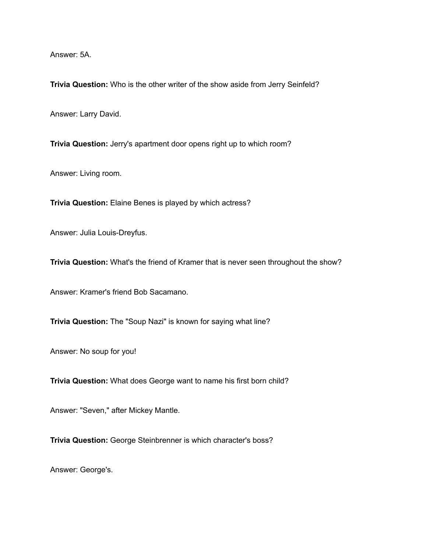Answer: 5A.

**Trivia Question:** Who is the other writer of the show aside from Jerry Seinfeld?

Answer: Larry David.

**Trivia Question:** Jerry's apartment door opens right up to which room?

Answer: Living room.

**Trivia Question:** Elaine Benes is played by which actress?

Answer: Julia Louis-Dreyfus.

**Trivia Question:** What's the friend of Kramer that is never seen throughout the show?

Answer: Kramer's friend Bob Sacamano.

**Trivia Question:** The "Soup Nazi" is known for saying what line?

Answer: No soup for you!

**Trivia Question:** What does George want to name his first born child?

Answer: "Seven," after Mickey Mantle.

**Trivia Question:** George Steinbrenner is which character's boss?

Answer: George's.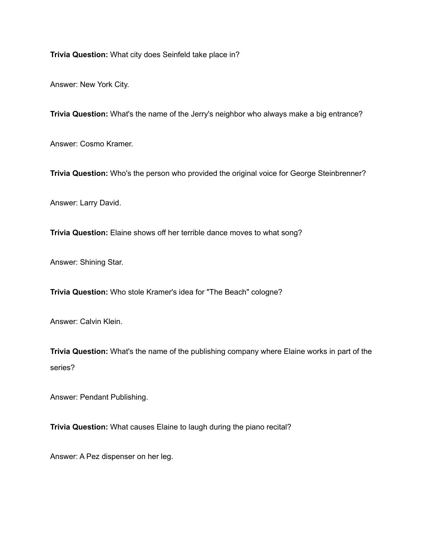**Trivia Question:** What city does Seinfeld take place in?

Answer: New York City.

**Trivia Question:** What's the name of the Jerry's neighbor who always make a big entrance?

Answer: Cosmo Kramer.

**Trivia Question:** Who's the person who provided the original voice for George Steinbrenner?

Answer: Larry David.

**Trivia Question:** Elaine shows off her terrible dance moves to what song?

Answer: Shining Star.

**Trivia Question:** Who stole Kramer's idea for "The Beach" cologne?

Answer: Calvin Klein.

**Trivia Question:** What's the name of the publishing company where Elaine works in part of the series?

Answer: Pendant Publishing.

**Trivia Question:** What causes Elaine to laugh during the piano recital?

Answer: A Pez dispenser on her leg.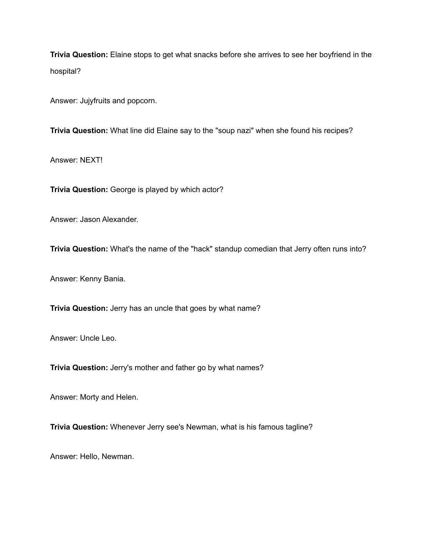**Trivia Question:** Elaine stops to get what snacks before she arrives to see her boyfriend in the hospital?

Answer: Jujyfruits and popcorn.

**Trivia Question:** What line did Elaine say to the "soup nazi" when she found his recipes?

Answer: NEXT!

**Trivia Question:** George is played by which actor?

Answer: Jason Alexander.

**Trivia Question:** What's the name of the "hack" standup comedian that Jerry often runs into?

Answer: Kenny Bania.

**Trivia Question:** Jerry has an uncle that goes by what name?

Answer: Uncle Leo.

**Trivia Question:** Jerry's mother and father go by what names?

Answer: Morty and Helen.

**Trivia Question:** Whenever Jerry see's Newman, what is his famous tagline?

Answer: Hello, Newman.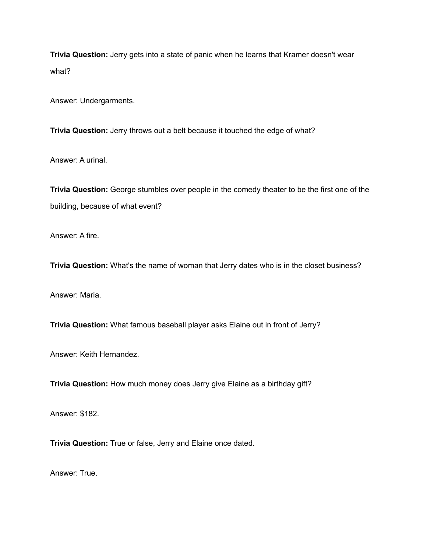**Trivia Question:** Jerry gets into a state of panic when he learns that Kramer doesn't wear what?

Answer: Undergarments.

**Trivia Question:** Jerry throws out a belt because it touched the edge of what?

Answer: A urinal.

**Trivia Question:** George stumbles over people in the comedy theater to be the first one of the building, because of what event?

Answer: A fire.

**Trivia Question:** What's the name of woman that Jerry dates who is in the closet business?

Answer: Maria.

**Trivia Question:** What famous baseball player asks Elaine out in front of Jerry?

Answer: Keith Hernandez.

**Trivia Question:** How much money does Jerry give Elaine as a birthday gift?

Answer: \$182.

**Trivia Question:** True or false, Jerry and Elaine once dated.

Answer: True.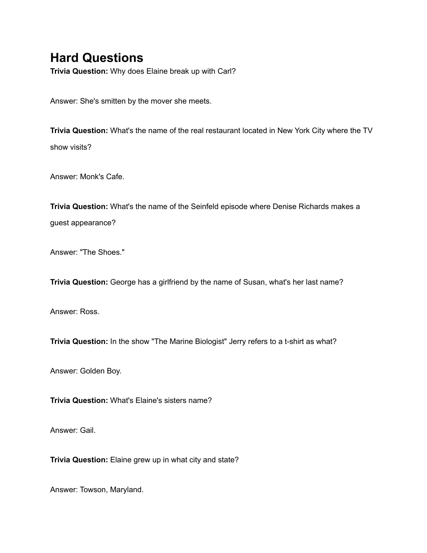## **Hard Questions**

**Trivia Question:** Why does Elaine break up with Carl?

Answer: She's smitten by the mover she meets.

**Trivia Question:** What's the name of the real restaurant located in New York City where the TV show visits?

Answer: Monk's Cafe.

**Trivia Question:** What's the name of the Seinfeld episode where Denise Richards makes a guest appearance?

Answer: "The Shoes."

**Trivia Question:** George has a girlfriend by the name of Susan, what's her last name?

Answer: Ross.

**Trivia Question:** In the show "The Marine Biologist" Jerry refers to a t-shirt as what?

Answer: Golden Boy.

**Trivia Question:** What's Elaine's sisters name?

Answer: Gail.

**Trivia Question:** Elaine grew up in what city and state?

Answer: Towson, Maryland.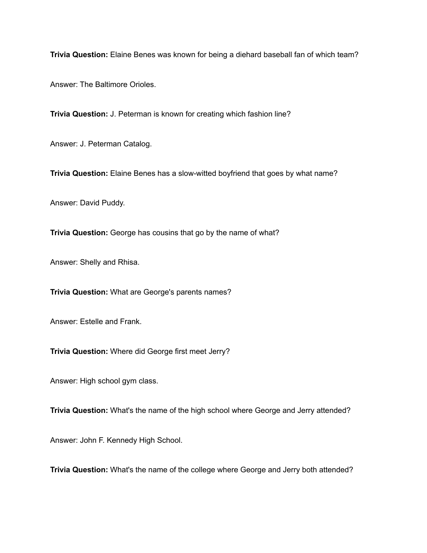**Trivia Question:** Elaine Benes was known for being a diehard baseball fan of which team?

Answer: The Baltimore Orioles.

**Trivia Question:** J. Peterman is known for creating which fashion line?

Answer: J. Peterman Catalog.

**Trivia Question:** Elaine Benes has a slow-witted boyfriend that goes by what name?

Answer: David Puddy.

**Trivia Question:** George has cousins that go by the name of what?

Answer: Shelly and Rhisa.

**Trivia Question:** What are George's parents names?

Answer: Estelle and Frank.

**Trivia Question:** Where did George first meet Jerry?

Answer: High school gym class.

**Trivia Question:** What's the name of the high school where George and Jerry attended?

Answer: John F. Kennedy High School.

**Trivia Question:** What's the name of the college where George and Jerry both attended?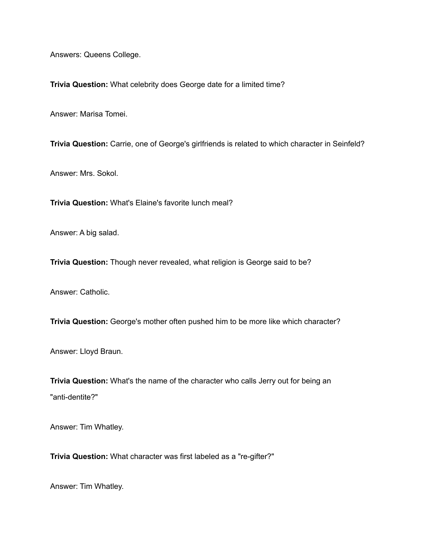Answers: Queens College.

**Trivia Question:** What celebrity does George date for a limited time?

Answer: Marisa Tomei.

**Trivia Question:** Carrie, one of George's girlfriends is related to which character in Seinfeld?

Answer: Mrs. Sokol.

**Trivia Question:** What's Elaine's favorite lunch meal?

Answer: A big salad.

**Trivia Question:** Though never revealed, what religion is George said to be?

Answer: Catholic.

**Trivia Question:** George's mother often pushed him to be more like which character?

Answer: Lloyd Braun.

**Trivia Question:** What's the name of the character who calls Jerry out for being an "anti-dentite?"

Answer: Tim Whatley.

**Trivia Question:** What character was first labeled as a "re-gifter?"

Answer: Tim Whatley.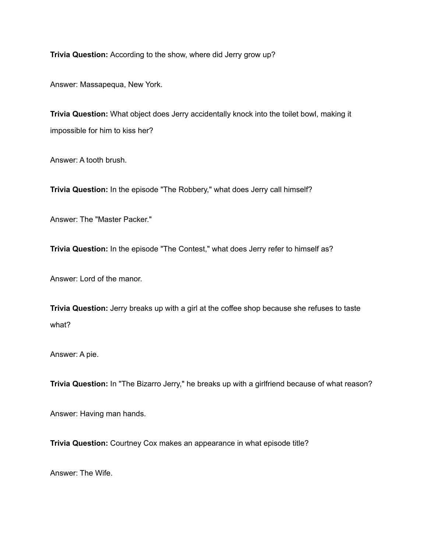**Trivia Question:** According to the show, where did Jerry grow up?

Answer: Massapequa, New York.

**Trivia Question:** What object does Jerry accidentally knock into the toilet bowl, making it impossible for him to kiss her?

Answer: A tooth brush.

**Trivia Question:** In the episode "The Robbery," what does Jerry call himself?

Answer: The "Master Packer."

**Trivia Question:** In the episode "The Contest," what does Jerry refer to himself as?

Answer: Lord of the manor.

**Trivia Question:** Jerry breaks up with a girl at the coffee shop because she refuses to taste what?

Answer: A pie.

**Trivia Question:** In "The Bizarro Jerry," he breaks up with a girlfriend because of what reason?

Answer: Having man hands.

**Trivia Question:** Courtney Cox makes an appearance in what episode title?

Answer: The Wife.